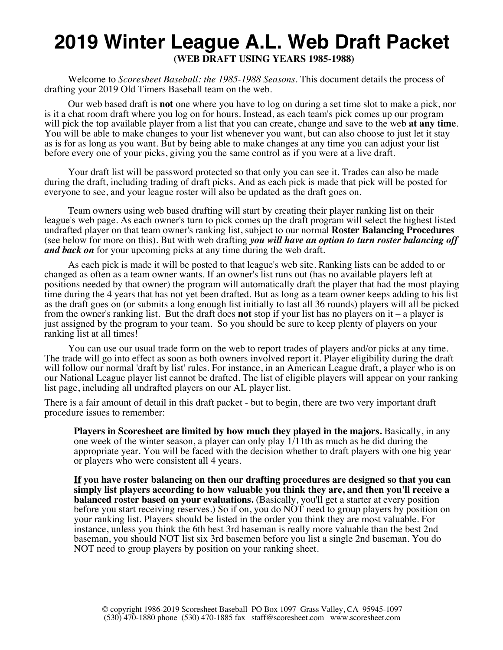### **2019 Winter League A.L. Web Draft Packet (WEB DRAFT USING YEARS 1985-1988)**

Welcome to *Scoresheet Baseball: the 1985-1988 Seasons*. This document details the process of drafting your 2019 Old Timers Baseball team on the web.

Our web based draft is **not** one where you have to log on during a set time slot to make a pick, nor is it a chat room draft where you log on for hours. Instead, as each team's pick comes up our program will pick the top available player from a list that you can create, change and save to the web **at any time**. You will be able to make changes to your list whenever you want, but can also choose to just let it stay as is for as long as you want. But by being able to make changes at any time you can adjust your list before every one of your picks, giving you the same control as if you were at a live draft.

Your draft list will be password protected so that only you can see it. Trades can also be made during the draft, including trading of draft picks. And as each pick is made that pick will be posted for everyone to see, and your league roster will also be updated as the draft goes on.

Team owners using web based drafting will start by creating their player ranking list on their league's web page. As each owner's turn to pick comes up the draft program will select the highest listed undrafted player on that team owner's ranking list, subject to our normal **Roster Balancing Procedures** (see below for more on this). But with web drafting *you will have an option to turn roster balancing off and back on* for your upcoming picks at any time during the web draft.

As each pick is made it will be posted to that league's web site. Ranking lists can be added to or changed as often as a team owner wants. If an owner's list runs out (has no available players left at positions needed by that owner) the program will automatically draft the player that had the most playing time during the 4 years that has not yet been drafted. But as long as a team owner keeps adding to his list as the draft goes on (or submits a long enough list initially to last all 36 rounds) players will all be picked from the owner's ranking list. But the draft does **not** stop if your list has no players on it – a player is just assigned by the program to your team. So you should be sure to keep plenty of players on your ranking list at all times!

You can use our usual trade form on the web to report trades of players and/or picks at any time. The trade will go into effect as soon as both owners involved report it. Player eligibility during the draft will follow our normal 'draft by list' rules. For instance, in an American League draft, a player who is on our National League player list cannot be drafted. The list of eligible players will appear on your ranking list page, including all undrafted players on our AL player list.

There is a fair amount of detail in this draft packet - but to begin, there are two very important draft procedure issues to remember:

**Players in Scoresheet are limited by how much they played in the majors.** Basically, in any one week of the winter season, a player can only play 1/11th as much as he did during the appropriate year. You will be faced with the decision whether to draft players with one big year or players who were consistent all 4 years.

**If you have roster balancing on then our drafting procedures are designed so that you can simply list players according to how valuable you think they are, and then you'll receive a balanced roster based on your evaluations.** (Basically, you'll get a starter at every position before you start receiving reserves.) So if on, you do NOT need to group players by position on your ranking list. Players should be listed in the order you think they are most valuable. For instance, unless you think the 6th best 3rd baseman is really more valuable than the best 2nd baseman, you should NOT list six 3rd basemen before you list a single 2nd baseman. You do NOT need to group players by position on your ranking sheet.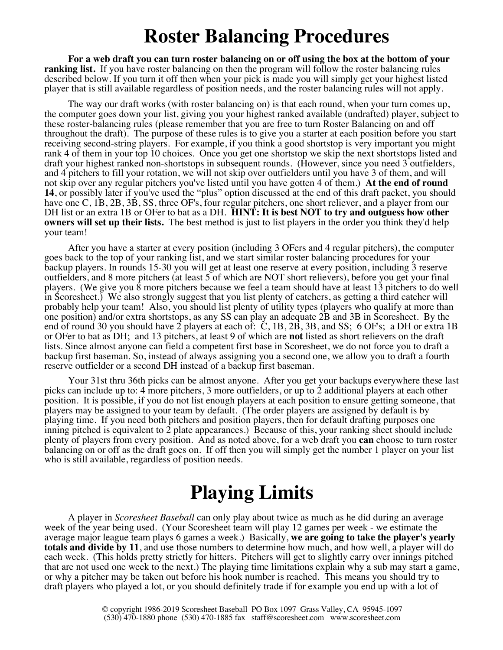## **Roster Balancing Procedures**

**For a web draft you can turn roster balancing on or off using the box at the bottom of your ranking list.** If you have roster balancing on then the program will follow the roster balancing rules described below. If you turn it off then when your pick is made you will simply get your highest listed player that is still available regardless of position needs, and the roster balancing rules will not apply.

The way our draft works (with roster balancing on) is that each round, when your turn comes up, the computer goes down your list, giving you your highest ranked available (undrafted) player, subject to these roster-balancing rules (please remember that you are free to turn Roster Balancing on and off throughout the draft). The purpose of these rules is to give you a starter at each position before you start receiving second-string players. For example, if you think a good shortstop is very important you might rank 4 of them in your top 10 choices. Once you get one shortstop we skip the next shortstops listed and draft your highest ranked non-shortstops in subsequent rounds. (However, since you need 3 outfielders, and 4 pitchers to fill your rotation, we will not skip over outfielders until you have 3 of them, and will not skip over any regular pitchers you've listed until you have gotten 4 of them.) **At the end of round 14**, or possibly later if you've used the "plus" option discussed at the end of this draft packet, you should have one C, 1B, 2B, 3B, SS, three OF's, four regular pitchers, one short reliever, and a player from our DH list or an extra 1B or OFer to bat as a DH. **HINT: It is best NOT to try and outguess how other owners will set up their lists.** The best method is just to list players in the order you think they'd help your team!

After you have a starter at every position (including 3 OFers and 4 regular pitchers), the computer goes back to the top of your ranking list, and we start similar roster balancing procedures for your backup players. In rounds 15-30 you will get at least one reserve at every position, including 3 reserve outfielders, and 8 more pitchers (at least 5 of which are NOT short relievers), before you get your final players. (We give you 8 more pitchers because we feel a team should have at least 13 pitchers to do well in Scoresheet.) We also strongly suggest that you list plenty of catchers, as getting a third catcher will probably help your team! Also, you should list plenty of utility types (players who qualify at more than one position) and/or extra shortstops, as any SS can play an adequate 2B and 3B in Scoresheet. By the end of round 30 you should have 2 players at each of: C, 1B, 2B, 3B, and SS; 6 OF's; a DH or extra 1B or OFer to bat as DH; and 13 pitchers, at least 9 of which are **not** listed as short relievers on the draft lists. Since almost anyone can field a competent first base in Scoresheet, we do not force you to draft a backup first baseman. So, instead of always assigning you a second one, we allow you to draft a fourth reserve outfielder or a second DH instead of a backup first baseman.

Your 31st thru 36th picks can be almost anyone. After you get your backups everywhere these last picks can include up to: 4 more pitchers, 3 more outfielders, or up to 2 additional players at each other position. It is possible, if you do not list enough players at each position to ensure getting someone, that players may be assigned to your team by default. (The order players are assigned by default is by playing time. If you need both pitchers and position players, then for default drafting purposes one inning pitched is equivalent to 2 plate appearances.) Because of this, your ranking sheet should include plenty of players from every position. And as noted above, for a web draft you **can** choose to turn roster balancing on or off as the draft goes on. If off then you will simply get the number 1 player on your list who is still available, regardless of position needs.

## **Playing Limits**

A player in *Scoresheet Baseball* can only play about twice as much as he did during an average week of the year being used. (Your Scoresheet team will play 12 games per week - we estimate the average major league team plays 6 games a week.) Basically, **we are going to take the player's yearly totals and divide by 11**, and use those numbers to determine how much, and how well, a player will do each week. (This holds pretty strictly for hitters. Pitchers will get to slightly carry over innings pitched that are not used one week to the next.) The playing time limitations explain why a sub may start a game, or why a pitcher may be taken out before his hook number is reached. This means you should try to draft players who played a lot, or you should definitely trade if for example you end up with a lot of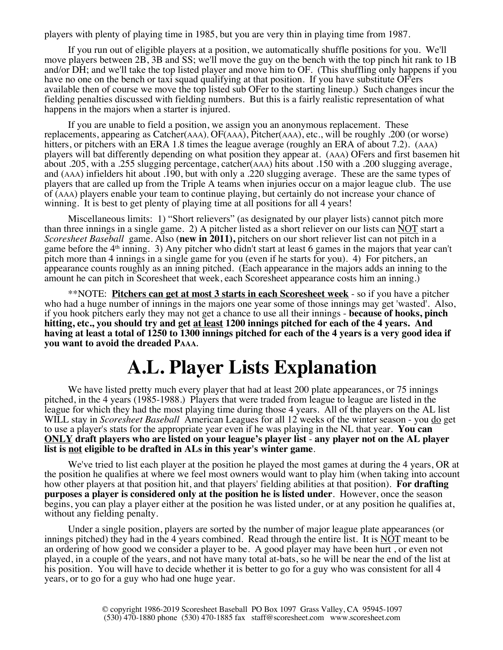players with plenty of playing time in 1985, but you are very thin in playing time from 1987.

If you run out of eligible players at a position, we automatically shuffle positions for you. We'll move players between 2B, 3B and SS; we'll move the guy on the bench with the top pinch hit rank to 1B and/or DH; and we'll take the top listed player and move him to OF. (This shuffling only happens if you have no one on the bench or taxi squad qualifying at that position. If you have substitute OF'ers available then of course we move the top listed sub OFer to the starting lineup.) Such changes incur the fielding penalties discussed with fielding numbers. But this is a fairly realistic representation of what happens in the majors when a starter is injured.

If you are unable to field a position, we assign you an anonymous replacement. These replacements, appearing as Catcher(AAA), OF(AAA), Pitcher(AAA), etc., will be roughly .200 (or worse) hitters, or pitchers with an ERA 1.8 times the league average (roughly an ERA of about 7.2). (AAA) players will bat differently depending on what position they appear at. (AAA) OFers and first basemen hit about .205, with a .255 slugging percentage, catcher(AAA) hits about .150 with a .200 slugging average, and (AAA) infielders hit about .190, but with only a .220 slugging average. These are the same types of players that are called up from the Triple A teams when injuries occur on a major league club. The use of (AAA) players enable your team to continue playing, but certainly do not increase your chance of winning. It is best to get plenty of playing time at all positions for all 4 years!

Miscellaneous limits: 1) "Short relievers" (as designated by our player lists) cannot pitch more than three innings in a single game. 2) A pitcher listed as a short reliever on our lists can NOT start a *Scoresheet Baseball* game. Also (**new in 2011),** pitchers on our short reliever list can not pitch in a game before the 4<sup>th</sup> inning. 3) Any pitcher who didn't start at least 6 games in the majors that year can't pitch more than 4 innings in a single game for you (even if he starts for you). 4) For pitchers, an appearance counts roughly as an inning pitched. (Each appearance in the majors adds an inning to the amount he can pitch in Scoresheet that week, each Scoresheet appearance costs him an inning.)

\*\*NOTE: **Pitchers can get at most 3 starts in each Scoresheet week** - so if you have a pitcher who had a huge number of innings in the majors one year some of those innings may get 'wasted'. Also, if you hook pitchers early they may not get a chance to use all their innings - **because of hooks, pinch hitting, etc., you should try and get at least 1200 innings pitched for each of the 4 years. And having at least a total of 1250 to 1300 innings pitched for each of the 4 years is a very good idea if you want to avoid the dreaded PAAA.**

## **A.L. Player Lists Explanation**

We have listed pretty much every player that had at least 200 plate appearances, or 75 innings pitched, in the 4 years (1985-1988.) Players that were traded from league to league are listed in the league for which they had the most playing time during those 4 years. All of the players on the AL list WILL stay in *Scoresheet Baseball* American Leagues for all 12 weeks of the winter season - you do get to use a player's stats for the appropriate year even if he was playing in the NL that year. **You can ONLY draft players who are listed on your league's player list** - **any player not on the AL player list is not eligible to be drafted in ALs in this year's winter game**.

We've tried to list each player at the position he played the most games at during the 4 years, OR at the position he qualifies at where we feel most owners would want to play him (when taking into account how other players at that position hit, and that players' fielding abilities at that position). **For drafting purposes a player is considered only at the position he is listed under**. However, once the season begins, you can play a player either at the position he was listed under, or at any position he qualifies at, without any fielding penalty.

Under a single position, players are sorted by the number of major league plate appearances (or innings pitched) they had in the 4 years combined. Read through the entire list. It is NOT meant to be an ordering of how good we consider a player to be. A good player may have been hurt , or even not played, in a couple of the years, and not have many total at-bats, so he will be near the end of the list at his position. You will have to decide whether it is better to go for a guy who was consistent for all 4 years, or to go for a guy who had one huge year.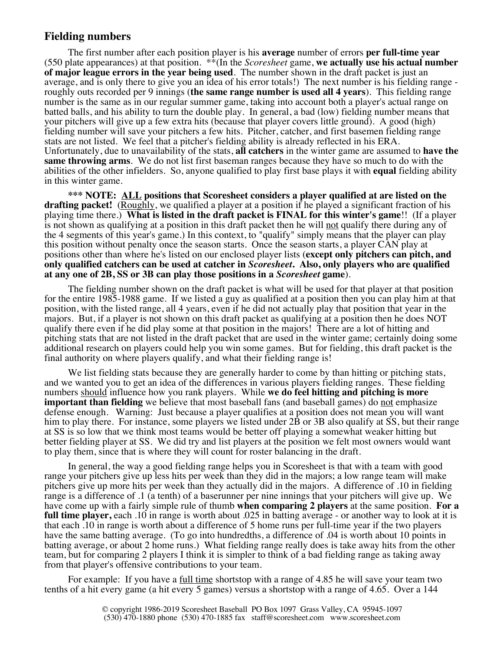### **Fielding numbers**

The first number after each position player is his **average** number of errors **per full-time year** (550 plate appearances) at that position. \*\*(In the *Scoresheet* game, **we actually use his actual number of major league errors in the year being used**. The number shown in the draft packet is just an average, and is only there to give you an idea of his error totals!) The next number is his fielding range roughly outs recorded per 9 innings (**the same range number is used all 4 years**). This fielding range number is the same as in our regular summer game, taking into account both a player's actual range on batted balls, and his ability to turn the double play. In general, a bad (low) fielding number means that your pitchers will give up a few extra hits (because that player covers little ground). A good (high) fielding number will save your pitchers a few hits. Pitcher, catcher, and first basemen fielding range stats are not listed. We feel that a pitcher's fielding ability is already reflected in his ERA. Unfortunately, due to unavailability of the stats, **all catchers** in the winter game are assumed to **have the same throwing arms**. We do not list first baseman ranges because they have so much to do with the abilities of the other infielders. So, anyone qualified to play first base plays it with **equal** fielding ability in this winter game.

**\*\*\* NOTE: ALL positions that Scoresheet considers a player qualified at are listed on the drafting packet!** (Roughly, we qualified a player at a position if he played a significant fraction of his playing time there.) **What is listed in the draft packet is FINAL for this winter's game**!! (If a player is not shown as qualifying at a position in this draft packet then he will not qualify there during any of the 4 segments of this year's game.) In this context, to "qualify" simply means that the player can play this position without penalty once the season starts. Once the season starts, a player CAN play at positions other than where he's listed on our enclosed player lists (**except only pitchers can pitch, and only qualified catchers can be used at catcher in** *Scoresheet***. Also, only players who are qualified at any one of 2B, SS or 3B can play those positions in a** *Scoresheet* **game**).

The fielding number shown on the draft packet is what will be used for that player at that position for the entire 1985-1988 game. If we listed a guy as qualified at a position then you can play him at that position, with the listed range, all 4 years, even if he did not actually play that position that year in the majors. But, if a player is not shown on this draft packet as qualifying at a position then he does NOT qualify there even if he did play some at that position in the majors! There are a lot of hitting and pitching stats that are not listed in the draft packet that are used in the winter game; certainly doing some additional research on players could help you win some games. But for fielding, this draft packet is the final authority on where players qualify, and what their fielding range is!

We list fielding stats because they are generally harder to come by than hitting or pitching stats, and we wanted you to get an idea of the differences in various players fielding ranges. These fielding numbers should influence how you rank players. While **we do feel hitting and pitching is more important than fielding** we believe that most baseball fans (and baseball games) do <u>not</u> emphasize defense enough. Warning: Just because a player qualifies at a position does not mean you will want him to play there. For instance, some players we listed under 2B or 3B also qualify at SS, but their range at SS is so low that we think most teams would be better off playing a somewhat weaker hitting but better fielding player at SS. We did try and list players at the position we felt most owners would want to play them, since that is where they will count for roster balancing in the draft.

In general, the way a good fielding range helps you in Scoresheet is that with a team with good range your pitchers give up less hits per week than they did in the majors; a low range team will make pitchers give up more hits per week than they actually did in the majors. A difference of .10 in fielding range is a difference of .1 (a tenth) of a baserunner per nine innings that your pitchers will give up. We have come up with a fairly simple rule of thumb **when comparing 2 players** at the same position. **For a full time player,** each .10 in range is worth about .025 in batting average - or another way to look at it is that each .10 in range is worth about a difference of 5 home runs per full-time year if the two players have the same batting average. (To go into hundredths, a difference of .04 is worth about 10 points in batting average, or about 2 home runs.) What fielding range really does is take away hits from the other team, but for comparing 2 players I think it is simpler to think of a bad fielding range as taking away from that player's offensive contributions to your team.

For example: If you have a <u>full time</u> shortstop with a range of 4.85 he will save your team two tenths of a hit every game (a hit every 5 games) versus a shortstop with a range of 4.65. Over a 144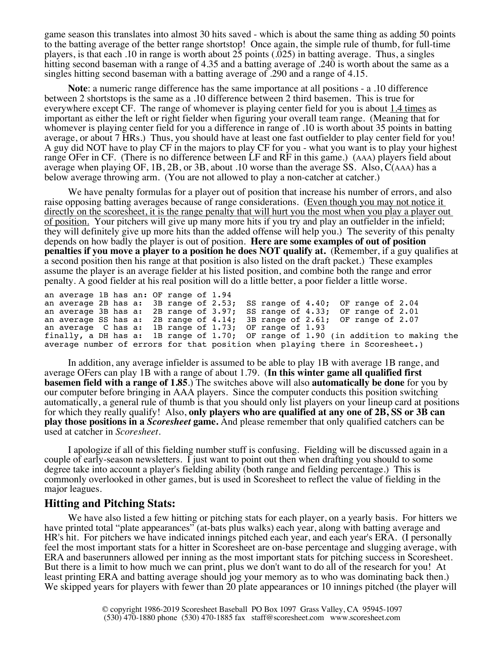game season this translates into almost 30 hits saved - which is about the same thing as adding 50 points to the batting average of the better range shortstop! Once again, the simple rule of thumb, for full-time players, is that each .10 in range is worth about 25 points (.025) in batting average. Thus, a singles hitting second baseman with a range of 4.35 and a batting average of .240 is worth about the same as a singles hitting second baseman with a batting average of .290 and a range of 4.15.

**Note**: a numeric range difference has the same importance at all positions - a .10 difference between 2 shortstops is the same as a .10 difference between 2 third basemen. This is true for everywhere except CF. The range of whomever is playing center field for you is about 1.4 times as important as either the left or right fielder when figuring your overall team range. (Meaning that for whomever is playing center field for you a difference in range of .10 is worth about 35 points in batting average, or about 7 HRs.) Thus, you should have at least one fast outfielder to play center field for you! A guy did NOT have to play CF in the majors to play CF for you - what you want is to play your highest range OFer in CF. (There is no difference between LF and RF in this game.) (AAA) players field about average when playing OF, 1B, 2B, or 3B, about .10 worse than the average SS. Also, C(AAA) has a below average throwing arm. (You are not allowed to play a non-catcher at catcher.)

We have penalty formulas for a player out of position that increase his number of errors, and also raise opposing batting averages because of range considerations. (Even though you may not notice it directly on the scoresheet, it is the range penalty that will hurt you the most when you play a player out of position. Your pitchers will give up many more hits if you try and play an outfielder in the infield; they will definitely give up more hits than the added offense will help you.) The severity of this penalty depends on how badly the player is out of position. **Here are some examples of out of position penalties if you move a player to a position he does NOT qualify at.** (Remember, if a guy qualifies at a second position then his range at that position is also listed on the draft packet.) These examples assume the player is an average fielder at his listed position, and combine both the range and error penalty. A good fielder at his real position will do a little better, a poor fielder a little worse.

```
an average 1B has an: OF range of 1.94
an average 2B has a: 3B range of 2.53; SS range of 4.40; OF range of 2.04an average 3B has a: 2B range of 3.97; SS range of 4.33; OF range of 2.01 an average SS has a: 2B range of 4.14; 3B range of 2.61; OF range of 2.07an average SS has a:<br>an average C has a:
                         1B range of 1.73; OF range of 1.93finally, a DH has a: 1B range of 1.70; OF range of 1.90 (in addition to making the 
average number of errors for that position when playing there in Scoresheet.)
```
In addition, any average infielder is assumed to be able to play 1B with average 1B range, and average OFers can play 1B with a range of about 1.79. (**In this winter game all qualified first basemen field with a range of 1.85**.) The switches above will also **automatically be done** for you by our computer before bringing in AAA players. Since the computer conducts this position switching automatically, a general rule of thumb is that you should only list players on your lineup card at positions for which they really qualify! Also, **only players who are qualified at any one of 2B, SS or 3B can play those positions in a** *Scoresheet* **game.** And please remember that only qualified catchers can be used at catcher in *Scoresheet*.

I apologize if all of this fielding number stuff is confusing. Fielding will be discussed again in a couple of early-season newsletters. I just want to point out then when drafting you should to some degree take into account a player's fielding ability (both range and fielding percentage.) This is commonly overlooked in other games, but is used in Scoresheet to reflect the value of fielding in the major leagues.

#### **Hitting and Pitching Stats:**

We have also listed a few hitting or pitching stats for each player, on a yearly basis. For hitters we have printed total "plate appearances" (at-bats plus walks) each year, along with batting average and HR's hit. For pitchers we have indicated innings pitched each year, and each year's ERA. (I personally feel the most important stats for a hitter in Scoresheet are on-base percentage and slugging average, with ERA and baserunners allowed per inning as the most important stats for pitching success in Scoresheet. But there is a limit to how much we can print, plus we don't want to do all of the research for you! At least printing ERA and batting average should jog your memory as to who was dominating back then.) We skipped years for players with fewer than 20 plate appearances or 10 innings pitched (the player will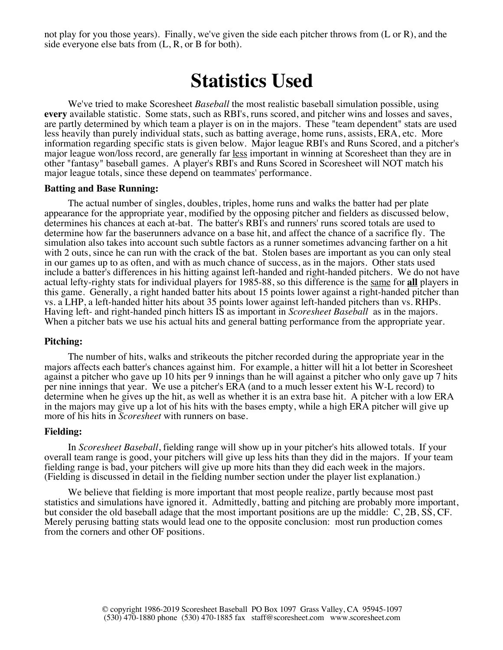not play for you those years). Finally, we've given the side each pitcher throws from (L or R), and the side everyone else bats from  $(L, R, or B)$  for both).

## **Statistics Used**

We've tried to make Scoresheet *Baseball* the most realistic baseball simulation possible, using **every** available statistic. Some stats, such as RBI's, runs scored, and pitcher wins and losses and saves, are partly determined by which team a player is on in the majors. These "team dependent" stats are used less heavily than purely individual stats, such as batting average, home runs, assists, ERA, etc. More information regarding specific stats is given below. Major league RBI's and Runs Scored, and a pitcher's major league won/loss record, are generally far less important in winning at Scoresheet than they are in other "fantasy" baseball games. A player's RBI's and Runs Scored in Scoresheet will NOT match his major league totals, since these depend on teammates' performance.

#### **Batting and Base Running:**

The actual number of singles, doubles, triples, home runs and walks the batter had per plate appearance for the appropriate year, modified by the opposing pitcher and fielders as discussed below, determines his chances at each at-bat. The batter's RBI's and runners' runs scored totals are used to determine how far the baserunners advance on a base hit, and affect the chance of a sacrifice fly. The simulation also takes into account such subtle factors as a runner sometimes advancing farther on a hit with 2 outs, since he can run with the crack of the bat. Stolen bases are important as you can only steal in our games up to as often, and with as much chance of success, as in the majors. Other stats used include a batter's differences in his hitting against left-handed and right-handed pitchers. We do not have actual lefty-righty stats for individual players for 1985-88, so this difference is the same for **all** players in this game. Generally, a right handed batter hits about 15 points lower against a right-handed pitcher than vs. a LHP, a left-handed hitter hits about 35 points lower against left-handed pitchers than vs. RHPs. Having left- and right-handed pinch hitters IS as important in *Scoresheet Baseball* as in the majors. When a pitcher bats we use his actual hits and general batting performance from the appropriate year.

#### **Pitching:**

The number of hits, walks and strikeouts the pitcher recorded during the appropriate year in the majors affects each batter's chances against him. For example, a hitter will hit a lot better in Scoresheet against a pitcher who gave up 10 hits per 9 innings than he will against a pitcher who only gave up 7 hits per nine innings that year. We use a pitcher's ERA (and to a much lesser extent his W-L record) to determine when he gives up the hit, as well as whether it is an extra base hit. A pitcher with a low ERA in the majors may give up a lot of his hits with the bases empty, while a high ERA pitcher will give up more of his hits in *Scoresheet* with runners on base.

#### **Fielding:**

In *Scoresheet Baseball*, fielding range will show up in your pitcher's hits allowed totals. If your overall team range is good, your pitchers will give up less hits than they did in the majors. If your team fielding range is bad, your pitchers will give up more hits than they did each week in the majors. (Fielding is discussed in detail in the fielding number section under the player list explanation.)

We believe that fielding is more important that most people realize, partly because most past statistics and simulations have ignored it. Admittedly, batting and pitching are probably more important, but consider the old baseball adage that the most important positions are up the middle: C, 2B, SS, CF. Merely perusing batting stats would lead one to the opposite conclusion: most run production comes from the corners and other OF positions.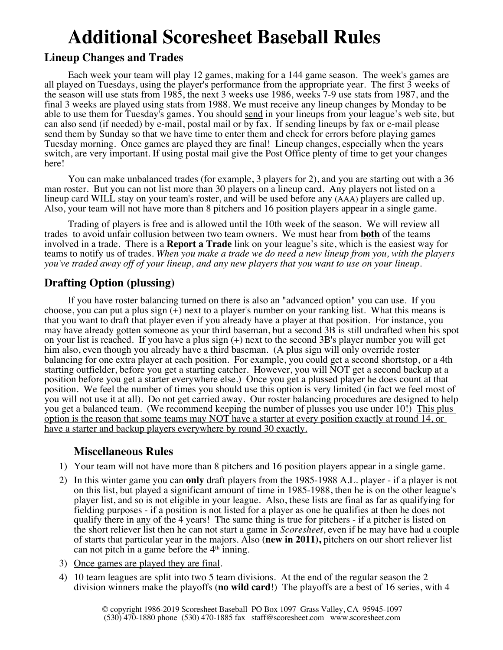# **Additional Scoresheet Baseball Rules**

### **Lineup Changes and Trades**

Each week your team will play 12 games, making for a 144 game season. The week's games are all played on Tuesdays, using the player's performance from the appropriate year. The first 3 weeks of the season will use stats from 1985, the next 3 weeks use 1986, weeks 7-9 use stats from 1987, and the final 3 weeks are played using stats from 1988. We must receive any lineup changes by Monday to be able to use them for Tuesday's games. You should send in your lineups from your league's web site, but can also send (if needed) by e-mail, postal mail or by fax. If sending lineups by fax or e-mail please send them by Sunday so that we have time to enter them and check for errors before playing games Tuesday morning. Once games are played they are final! Lineup changes, especially when the years switch, are very important. If using postal mail give the Post Office plenty of time to get your changes here!

You can make unbalanced trades (for example, 3 players for 2), and you are starting out with a 36 man roster. But you can not list more than 30 players on a lineup card. Any players not listed on a lineup card WILL stay on your team's roster, and will be used before any (AAA) players are called up. Also, your team will not have more than 8 pitchers and 16 position players appear in a single game.

Trading of players is free and is allowed until the 10th week of the season. We will review all trades to avoid unfair collusion between two team owners. We must hear from **both** of the teams involved in a trade. There is a **Report a Trade** link on your league's site, which is the easiest way for teams to notify us of trades. *When you make a trade we do need a new lineup from you, with the players you've traded away off of your lineup, and any new players that you want to use on your lineup.*

### **Drafting Option (plussing)**

If you have roster balancing turned on there is also an "advanced option" you can use. If you choose, you can put a plus sign (+) next to a player's number on your ranking list. What this means is that you want to draft that player even if you already have a player at that position. For instance, you may have already gotten someone as your third baseman, but a second 3B is still undrafted when his spot on your list is reached. If you have a plus sign (+) next to the second 3B's player number you will get him also, even though you already have a third baseman. (A plus sign will only override roster balancing for one extra player at each position. For example, you could get a second shortstop, or a 4th starting outfielder, before you get a starting catcher. However, you will NOT get a second backup at a position before you get a starter everywhere else.) Once you get a plussed player he does count at that position. We feel the number of times you should use this option is very limited (in fact we feel most of you will not use it at all). Do not get carried away. Our roster balancing procedures are designed to help you get a balanced team. (We recommend keeping the number of plusses you use under 10!) This plus option is the reason that some teams may NOT have a starter at every position exactly at round 14, or have a starter and backup players everywhere by round 30 exactly.

### **Miscellaneous Rules**

- 1) Your team will not have more than 8 pitchers and 16 position players appear in a single game.
- 2) In this winter game you can **only** draft players from the 1985-1988 A.L. player if a player is not on this list, but played a significant amount of time in 1985-1988, then he is on the other league's player list, and so is not eligible in your league. Also, these lists are final as far as qualifying for fielding purposes - if a position is not listed for a player as one he qualifies at then he does not qualify there in any of the 4 years! The same thing is true for pitchers - if a pitcher is listed on the short reliever list then he can not start a game in *Scoresheet*, even if he may have had a couple of starts that particular year in the majors. Also (**new in 2011),** pitchers on our short reliever list can not pitch in a game before the  $4<sup>th</sup>$  inning.
- 3) Once games are played they are final.
- 4) 10 team leagues are split into two 5 team divisions. At the end of the regular season the 2 division winners make the playoffs (**no wild card**!) The playoffs are a best of 16 series, with 4